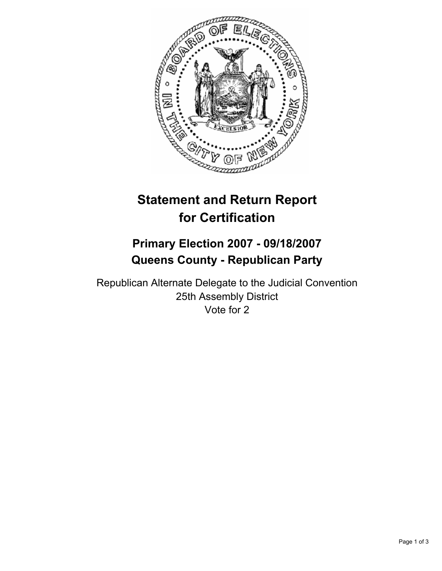

# **Statement and Return Report for Certification**

## **Primary Election 2007 - 09/18/2007 Queens County - Republican Party**

Republican Alternate Delegate to the Judicial Convention 25th Assembly District Vote for 2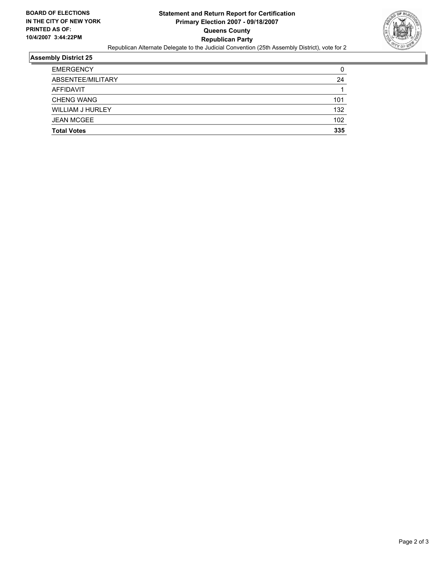

#### **Assembly District 25**

| <b>EMERGENCY</b>   |     |
|--------------------|-----|
| ABSENTEE/MILITARY  | 24  |
| AFFIDAVIT          |     |
| <b>CHENG WANG</b>  | 101 |
| WILLIAM J HURLEY   | 132 |
| <b>JEAN MCGEE</b>  | 102 |
| <b>Total Votes</b> | 335 |